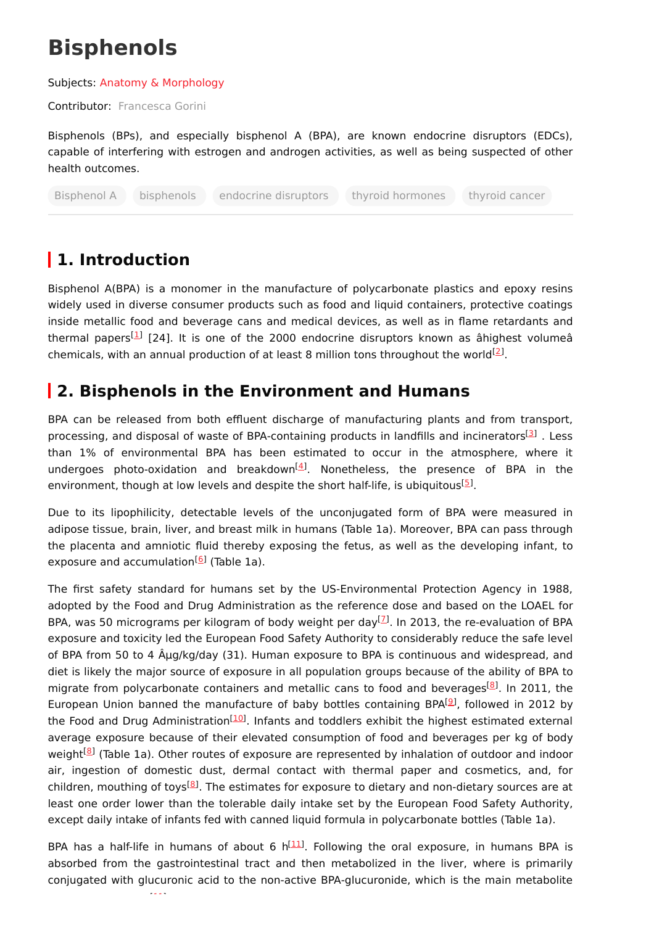# **Bisphenols**

#### Subjects: Anatomy & [Morphology](https://encyclopedia.pub/entry/subject/2)

Contributor: [Francesca](https://sciprofiles.com/profile/459417) Gorini

Bisphenols (BPs), and especially bisphenol A (BPA), are known endocrine disruptors (EDCs), capable of interfering with estrogen and androgen activities, as well as being suspected of other health outcomes.

Bisphenol A bisphenols endocrine disruptors thyroid hormones thyroid cancer

## **1. Introduction**

Bisphenol A(BPA) is a monomer in the manufacture of polycarbonate plastics and epoxy resins widely used in diverse consumer products such as food and liquid containers, protective coatings inside metallic food and beverage cans and medical devices, as well as in flame retardants and thermal papers<sup>[[1](#page-3-0)]</sup> [24]. It is one of the 2000 endocrine disruptors known as âhighest volumeâ chemicals, with an annual production of at least 8 million tons throughout the world<sup>[[2](#page-3-1)]</sup>.

### **2. Bisphenols in the Environment and Humans**

BPA can be released from both effluent discharge of manufacturing plants and from transport, processing, and disposal of waste of BPA-containing products in landfills and incinerators<sup>[[3](#page-3-2)]</sup>. Less than 1% of environmental BPA has been estimated to occur in the atmosphere, where it undergoes photo-oxidation and breakdown<sup>[[4](#page-3-3)]</sup>. Nonetheless, the presence of BPA in the environment, though at low levels and despite the short half-life, is ubiquitous<sup>[\[5](#page-3-4)]</sup>.

Due to its lipophilicity, detectable levels of the unconjugated form of BPA were measured in adipose tissue, brain, liver, and breast milk in humans (Table 1a). Moreover, BPA can pass through the placenta and amniotic fluid thereby exposing the fetus, as well as the developing infant, to exposure and accumulation<sup>[\[6](#page-3-5)]</sup> (Table 1a).

The first safety standard for humans set by the US-Environmental Protection Agency in 1988, adopted by the Food and Drug Administration as the reference dose and based on the LOAEL for BPA, was 50 micrograms per kilogram of body weight per day<sup>[\[7](#page-3-6)]</sup>. In 2013, the re-evaluation of BPA exposure and toxicity led the European Food Safety Authority to considerably reduce the safe level of BPA from 50 to 4 Aµg/kg/day (31). Human exposure to BPA is continuous and widespread, and diet is likely the major source of exposure in all population groups because of the ability of BPA to migrate from polycarbonate containers and metallic cans to food and beverages<sup>[[8](#page-3-7)]</sup>. In 2011, the European Union banned the manufacture of baby bottles containing BPA $[9]$  $[9]$ , followed in 2012 by the Food and Drug Administration<sup>[[10](#page-4-0)]</sup>. Infants and toddlers exhibit the highest estimated external average exposure because of their elevated consumption of food and beverages per kg of body weight<sup>[[8](#page-3-7)]</sup> (Table 1a). Other routes of exposure are represented by inhalation of outdoor and indoor air, ingestion of domestic dust, dermal contact with thermal paper and cosmetics, and, for children, mouthing of toys<sup>[\[8](#page-3-7)]</sup>. The estimates for exposure to dietary and non-dietary sources are at least one order lower than the tolerable daily intake set by the European Food Safety Authority, except daily intake of infants fed with canned liquid formula in polycarbonate bottles (Table 1a).

BPA has a half-life in humans of about 6  $h^{[11]}$  $h^{[11]}$  $h^{[11]}$ . Following the oral exposure, in humans BPA is absorbed from the gastrointestinal tract and then metabolized in the liver, where is primarily conjugated with glucuronic acid to the non-active BPA-glucuronide, which is the main metabolite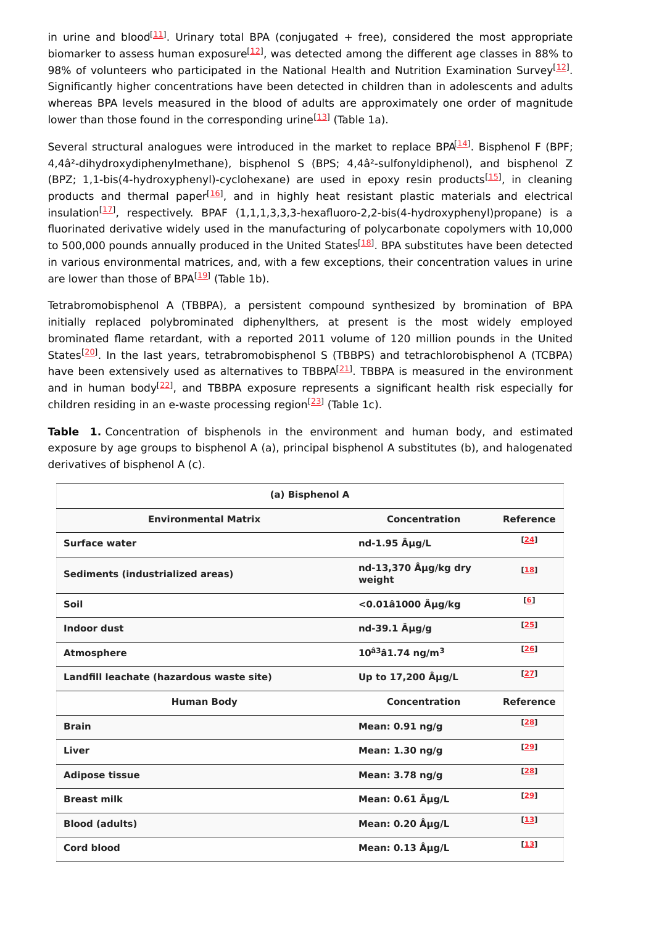in urine and blood<sup>[[11](#page-4-1)]</sup>. Urinary total BPA (conjugated + free), considered the most appropriate biomarker to assess human exposure<sup>[\[12](#page-4-2)]</sup>, was detected among the different age classes in 88% to 98% of volunteers who participated in the National Health and Nutrition Examination Survey<sup>[\[12](#page-4-2)]</sup>. Significantly higher concentrations have been detected in children than in adolescents and adults whereas BPA levels measured in the blood of adults are approximately one order of magnitude lower than those found in the corresponding urine<sup>[\[13](#page-4-3)]</sup> (Table 1a).

Several structural analogues were introduced in the market to replace BPA $[14]$  $[14]$  $[14]$ . Bisphenol F (BPF; 4,4â²-dihydroxydiphenylmethane), bisphenol S (BPS; 4,4â²-sulfonyldiphenol), and bisphenol Z (BPZ; 1,1-bis(4-hydroxyphenyl)-cyclohexane) are used in epoxy resin products<sup>[\[15](#page-4-5)]</sup>, in cleaning products and thermal paper<sup>[\[16](#page-4-6)]</sup>, and in highly heat resistant plastic materials and electrical insulation<sup>[\[17](#page-4-7)]</sup>, respectively. BPAF (1,1,1,3,3,3-hexafluoro-2,2-bis(4-hydroxyphenyl)propane) is a fluorinated derivative widely used in the manufacturing of polycarbonate copolymers with 10,000 to 500,000 pounds annually produced in the United States<sup>[\[18\]](#page-4-8)</sup>. BPA substitutes have been detected in various environmental matrices, and, with a few exceptions, their concentration values in urine are lower than those of BPA<sup>[\[19](#page-4-9)]</sup> (Table 1b).

Tetrabromobisphenol A (TBBPA), a persistent compound synthesized by bromination of BPA initially replaced polybrominated diphenylthers, at present is the most widely employed brominated flame retardant, with a reported 2011 volume of 120 million pounds in the United States<sup>[\[20](#page-4-10)]</sup>. In the last years, tetrabromobisphenol S (TBBPS) and tetrachlorobisphenol A (TCBPA) have been extensively used as alternatives to TBBPA<sup>[\[21](#page-4-11)]</sup>. TBBPA is measured in the environment and in human body<sup>[[22](#page-4-12)]</sup>, and TBBPA exposure represents a significant health risk especially for children residing in an e-waste processing region<sup>[[23\]](#page-5-0)</sup> (Table 1c).

| (a) Bisphenol A                          |                                  |                  |  |
|------------------------------------------|----------------------------------|------------------|--|
| <b>Environmental Matrix</b>              | Concentration                    | <b>Reference</b> |  |
| Surface water                            | nd-1.95 $\hat{A}\mu g/L$         | [24]             |  |
| Sediments (industrialized areas)         | nd-13,370 Aμg/kg dry<br>weight   | $[18]$           |  |
| Soil                                     | <0.01â1000 Âμg/kg                | [6]              |  |
| <b>Indoor dust</b>                       | nd-39.1 $\ddot{A}\mu g/g$        | $[25]$           |  |
| <b>Atmosphere</b>                        | $10^{â3}â1.74$ ng/m <sup>3</sup> | $[26]$           |  |
| Landfill leachate (hazardous waste site) | Up to 17,200 Aug/L               | [27]             |  |
| <b>Human Body</b>                        | <b>Concentration</b>             | <b>Reference</b> |  |
| <b>Brain</b>                             | Mean: 0.91 ng/g                  | $[28]$           |  |
| Liver                                    | Mean: $1.30$ ng/g                | [29]             |  |
| <b>Adipose tissue</b>                    | Mean: 3.78 ng/g                  | $[28]$           |  |
| <b>Breast milk</b>                       | Mean: 0.61 Aµg/L                 | [29]             |  |
| <b>Blood (adults)</b>                    | Mean: 0.20 Aµg/L                 | [13]             |  |
| <b>Cord blood</b>                        | Mean: 0.13 Aµg/L                 | [13]             |  |

**Table 1.** Concentration of bisphenols in the environment and human body, and estimated exposure by age groups to bisphenol A (a), principal bisphenol A substitutes (b), and halogenated derivatives of bisphenol A (c).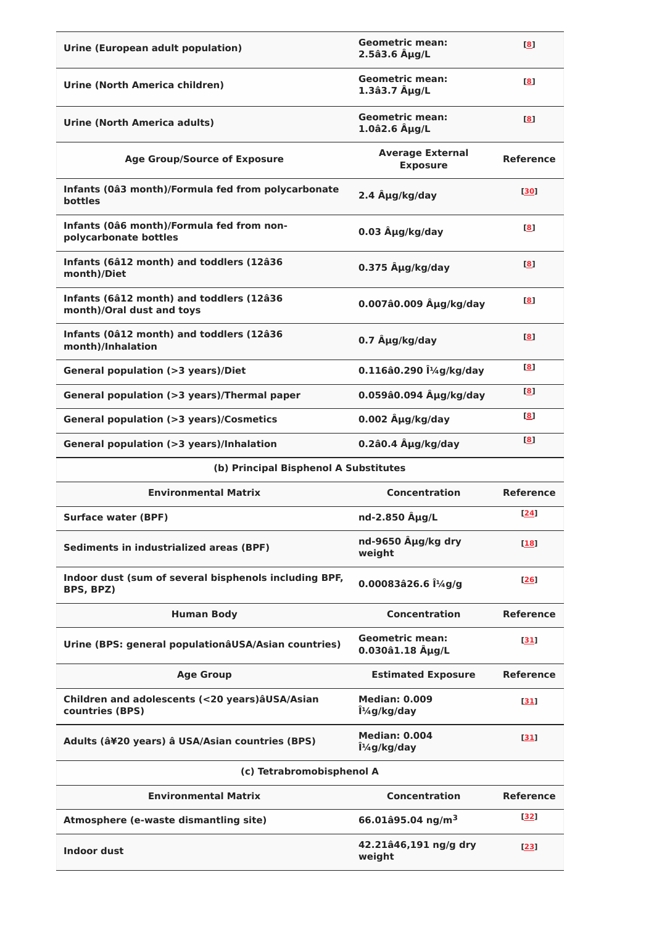| <b>Urine (European adult population)</b>                              | <b>Geometric mean:</b><br>$2.5a3.6$ $\hat{A}\mu g/L$ | [8]              |
|-----------------------------------------------------------------------|------------------------------------------------------|------------------|
| Urine (North America children)                                        | <b>Geometric mean:</b><br>$1.3a3.7$ $\hat{A}\mu g/L$ | $\mathbf{[8]}$   |
| Urine (North America adults)                                          | <b>Geometric mean:</b><br>$1.0$ â $2.6$ Â $\mu$ g/L  | $^{[8]}$         |
| <b>Age Group/Source of Exposure</b>                                   | <b>Average External</b><br><b>Exposure</b>           | <b>Reference</b> |
| Infants (0â3 month)/Formula fed from polycarbonate<br>bottles         | 2.4 Aug/kg/day                                       | [30]             |
| Infants (0â6 month)/Formula fed from non-<br>polycarbonate bottles    | $0.03$ $\hat{A}\mu g/kg$ /day                        | $\mathbf{[8]}$   |
| Infants (6â12 month) and toddlers (12â36<br>month)/Diet               | 0.375 Aug/kg/day                                     | [8]              |
| Infants (6â12 month) and toddlers (12â36<br>month)/Oral dust and toys | 0.007â0.009 µg/kg/day                                | $\mathbf{[8]}$   |
| Infants (0â12 month) and toddlers (12â36<br>month)/Inhalation         | 0.7 µg/kg/day                                        | [8]              |
| <b>General population (&gt;3 years)/Diet</b>                          | 0.116â0.290 μg/kg/day                                | <u>[8]</u>       |
| General population (>3 years)/Thermal paper                           | 0.059â0.094 µg/kg/day                                | $\blacksquare$   |
| <b>General population (&gt;3 years)/Cosmetics</b>                     | 0.002 µg/kg/day                                      | [8]              |
| General population (>3 years)/Inhalation                              | $0.2$ â $0.4$ Aµg/kg/day                             | $\mathbf{[8]}$   |
|                                                                       |                                                      |                  |
| (b) Principal Bisphenol A Substitutes                                 |                                                      |                  |
| <b>Environmental Matrix</b>                                           | Concentration                                        | <b>Reference</b> |
| <b>Surface water (BPF)</b>                                            | nd-2.850 Aug/L                                       | [24]             |
| Sediments in industrialized areas (BPF)                               | nd-9650 µg/kg dry<br>weight                          | [18]             |
| Indoor dust (sum of several bisphenols including BPF,<br>BPS, BPZ)    | 0.00083â26.6 Î1/4g/g                                 | [26]             |
| <b>Human Body</b>                                                     | <b>Concentration</b>                                 | <b>Reference</b> |
| Urine (BPS: general populationâUSA/Asian countries)                   | <b>Geometric mean:</b><br>0.030â1.18 µg/L            | $[31]$           |
| <b>Age Group</b>                                                      | <b>Estimated Exposure</b>                            | <b>Reference</b> |
| Children and adolescents (<20 years) aUSA/Asian<br>countries (BPS)    | <b>Median: 0.009</b><br>μg/kg/day                    | [31]             |
| Adults (â¥20 years) â USA/Asian countries (BPS)                       | <b>Median: 0.004</b><br>$\hat{I}^{1/4}$ g/kg/day     | [31]             |
| (c) Tetrabromobisphenol A                                             |                                                      |                  |
| <b>Environmental Matrix</b>                                           | <b>Concentration</b>                                 | <b>Reference</b> |
| Atmosphere (e-waste dismantling site)                                 | 66.01 $\hat{a}$ 95.04 ng/m <sup>3</sup>              | 32]              |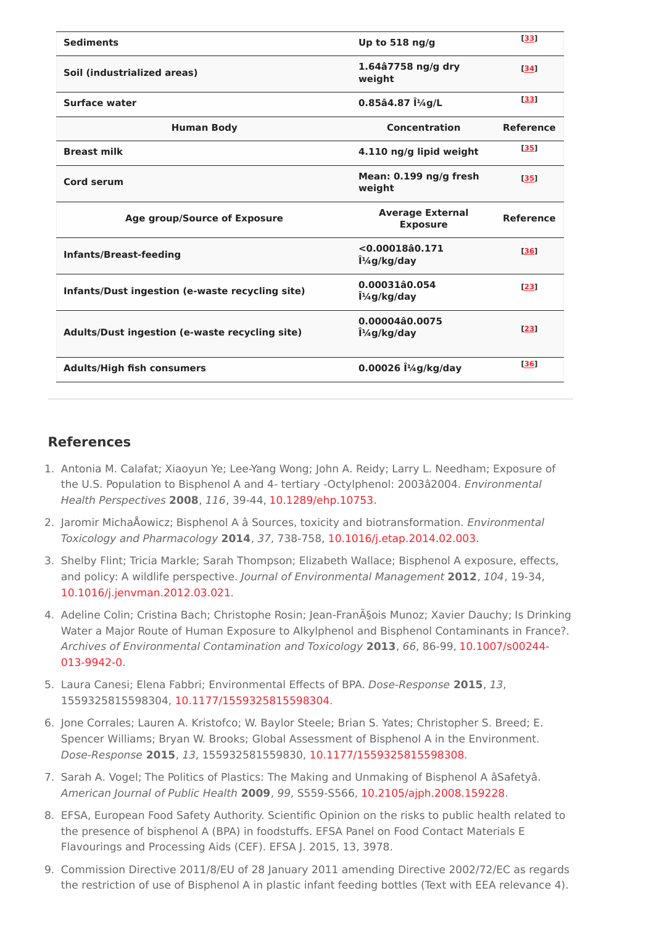| <b>Sediments</b>                                | Up to 518 ng/g                             | [33]             |
|-------------------------------------------------|--------------------------------------------|------------------|
| Soil (industrialized areas)                     | 1.64â7758 ng/g dry<br>weight               | $[34]$           |
| Surface water                                   | $0.85$ â4.87 Î $\frac{1}{4}$ g/L           | [33]             |
| <b>Human Body</b>                               | Concentration                              | <b>Reference</b> |
| <b>Breast milk</b>                              | 4.110 ng/g lipid weight                    | [35]             |
| Cord serum                                      | Mean: 0.199 ng/g fresh<br>weight           | <b>F351</b>      |
| Age group/Source of Exposure                    | <b>Average External</b><br><b>Exposure</b> | <b>Reference</b> |
| <b>Infants/Breast-feeding</b>                   | $< 0.00018$ â $0.171$<br>$1/4$ g/kg/day    | [36]             |
| Infants/Dust ingestion (e-waste recycling site) | 0.00031â0.054<br>μg/kg/day                 | [23]             |
| Adults/Dust ingestion (e-waste recycling site)  | 0.00004â0.0075<br>μg/kg/day                | [23]             |
| <b>Adults/High fish consumers</b>               | 0.00026 μg/kg/day                          | [36]             |

#### **References**

- <span id="page-3-0"></span>1. Antonia M. Calafat; Xiaoyun Ye; Lee-Yang Wong; John A. Reidy; Larry L. Needham; Exposure of the U.S. Population to Bisphenol A and 4- tertiary -Octylphenol: 2003â2004. Environmental Health Perspectives **2008**, 116, 39-44, [10.1289/ehp.10753](http://doi.org/10.1289/ehp.10753).
- <span id="page-3-1"></span>2. Jaromir MichaÅowicz; Bisphenol A â Sources, toxicity and biotransformation. Environmental Toxicology and Pharmacology **2014**, 37, 738-758, [10.1016/j.etap.2014.02.003](http://doi.org/10.1016/j.etap.2014.02.003).
- <span id="page-3-2"></span>3. Shelby Flint; Tricia Markle; Sarah Thompson; Elizabeth Wallace; Bisphenol A exposure, effects, and policy: A wildlife perspective. Journal of Environmental Management **2012**, 104, 19-34, [10.1016/j.jenvman.2012.03.021](http://doi.org/10.1016/j.jenvman.2012.03.021).
- <span id="page-3-3"></span>4. Adeline Colin; Cristina Bach; Christophe Rosin; Jean-François Munoz; Xavier Dauchy; Is Drinking Water a Major Route of Human Exposure to Alkylphenol and Bisphenol Contaminants in France?. Archives of Environmental Contamination and Toxicology **2013**, 66, 86-99, [10.1007/s00244-](http://doi.org/10.1007/s00244-013-9942-0) 013-9942-0.
- <span id="page-3-4"></span>5. Laura Canesi; Elena Fabbri; Environmental Effects of BPA. Dose-Response **2015**, 13, 1559325815598304, [10.1177/1559325815598304](http://doi.org/10.1177/1559325815598304).
- <span id="page-3-5"></span>6. Jone Corrales; Lauren A. Kristofco; W. Baylor Steele; Brian S. Yates; Christopher S. Breed; E. Spencer Williams; Bryan W. Brooks; Global Assessment of Bisphenol A in the Environment. Dose-Response **2015**, 13, 155932581559830, [10.1177/1559325815598308](http://doi.org/10.1177/1559325815598308).
- <span id="page-3-6"></span>7. Sarah A. Vogel; The Politics of Plastics: The Making and Unmaking of Bisphenol A âSafetyâ. American Journal of Public Health **2009**, 99, S559-S566, [10.2105/ajph.2008.159228](http://doi.org/10.2105/ajph.2008.159228).
- <span id="page-3-7"></span>8. EFSA, European Food Safety Authority. Scientific Opinion on the risks to public health related to the presence of bisphenol A (BPA) in foodstuffs. EFSA Panel on Food Contact Materials E Flavourings and Processing Aids (CEF). EFSA J. 2015, 13, 3978.
- <span id="page-3-8"></span>9. Commission Directive 2011/8/EU of 28 January 2011 amending Directive 2002/72/EC as regards the restriction of use of Bisphenol A in plastic infant feeding bottles (Text with EEA relevance 4).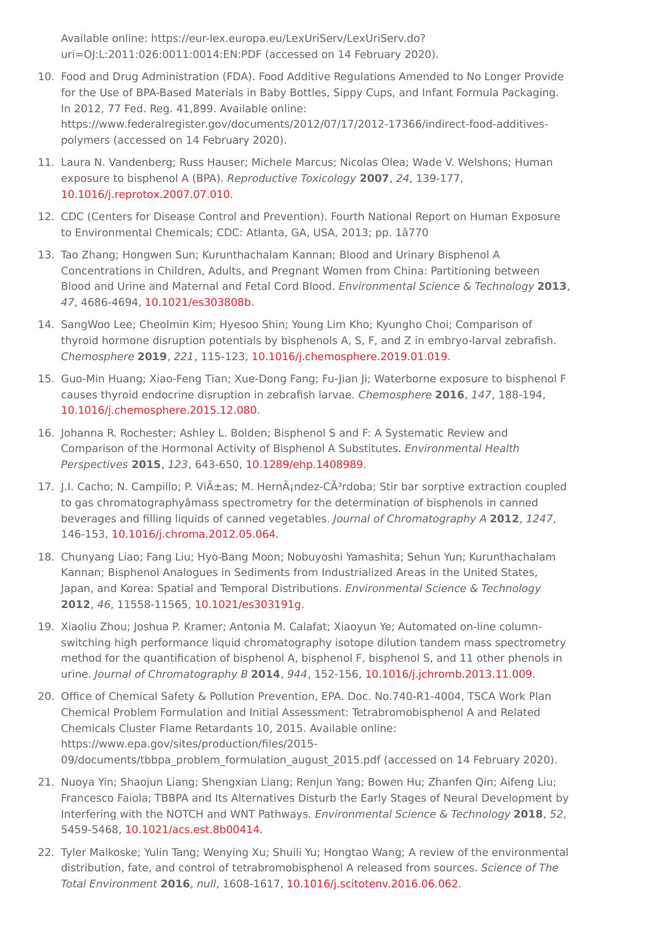Available online: https://eur-lex.europa.eu/LexUriServ/LexUriServ.do? uri=OJ:L:2011:026:0011:0014:EN:PDF (accessed on 14 February 2020).

- <span id="page-4-0"></span>10. Food and Drug Administration (FDA). Food Additive Regulations Amended to No Longer Provide for the Use of BPA-Based Materials in Baby Bottles, Sippy Cups, and Infant Formula Packaging. In 2012, 77 Fed. Reg. 41,899. Available online: https://www.federalregister.gov/documents/2012/07/17/2012-17366/indirect-food-additivespolymers (accessed on 14 February 2020).
- <span id="page-4-1"></span>11. Laura N. Vandenberg; Russ Hauser; Michele Marcus; Nicolas Olea; Wade V. Welshons; Human exposure to bisphenol A (BPA). Reproductive Toxicology **2007**, 24, 139-177, [10.1016/j.reprotox.2007.07.010](http://doi.org/10.1016/j.reprotox.2007.07.010).
- <span id="page-4-2"></span>12. CDC (Centers for Disease Control and Prevention). Fourth National Report on Human Exposure to Environmental Chemicals; CDC: Atlanta, GA, USA, 2013; pp. 1â770
- <span id="page-4-3"></span>13. Tao Zhang; Hongwen Sun; Kurunthachalam Kannan; Blood and Urinary Bisphenol A Concentrations in Children, Adults, and Pregnant Women from China: Partitioning between Blood and Urine and Maternal and Fetal Cord Blood. Environmental Science & Technology **2013**, 47, 4686-4694, [10.1021/es303808b](http://doi.org/10.1021/es303808b).
- <span id="page-4-4"></span>14. SangWoo Lee; Cheolmin Kim; Hyesoo Shin; Young Lim Kho; Kyungho Choi; Comparison of thyroid hormone disruption potentials by bisphenols A, S, F, and Z in embryo-larval zebrafish. Chemosphere **2019**, 221, 115-123, [10.1016/j.chemosphere.2019.01.019](http://doi.org/10.1016/j.chemosphere.2019.01.019).
- <span id="page-4-5"></span>15. Guo-Min Huang; Xiao-Feng Tian; Xue-Dong Fang; Fu-Jian Ji; Waterborne exposure to bisphenol F causes thyroid endocrine disruption in zebrafish larvae. Chemosphere **2016**, 147, 188-194, [10.1016/j.chemosphere.2015.12.080](http://doi.org/10.1016/j.chemosphere.2015.12.080).
- <span id="page-4-6"></span>16. Johanna R. Rochester; Ashley L. Bolden; Bisphenol S and F: A Systematic Review and Comparison of the Hormonal Activity of Bisphenol A Substitutes. Environmental Health Perspectives **2015**, 123, 643-650, [10.1289/ehp.1408989](http://doi.org/10.1289/ehp.1408989).
- <span id="page-4-7"></span>17. J.I. Cacho; N. Campillo; P. Viñas; M. HernÃ;ndez-CÃ<sup>3</sup>rdoba; Stir bar sorptive extraction coupled to gas chromatographyâmass spectrometry for the determination of bisphenols in canned beverages and filling liquids of canned vegetables. Journal of Chromatography A **2012**, 1247, 146-153, [10.1016/j.chroma.2012.05.064](http://doi.org/10.1016/j.chroma.2012.05.064).
- <span id="page-4-8"></span>18. Chunyang Liao; Fang Liu; Hyo-Bang Moon; Nobuyoshi Yamashita; Sehun Yun; Kurunthachalam Kannan; Bisphenol Analogues in Sediments from Industrialized Areas in the United States, Japan, and Korea: Spatial and Temporal Distributions. Environmental Science & Technology **2012**, 46, 11558-11565, [10.1021/es303191g](http://doi.org/10.1021/es303191g).
- <span id="page-4-9"></span>19. Xiaoliu Zhou; Joshua P. Kramer; Antonia M. Calafat; Xiaoyun Ye; Automated on-line columnswitching high performance liquid chromatography isotope dilution tandem mass spectrometry method for the quantification of bisphenol A, bisphenol F, bisphenol S, and 11 other phenols in urine. Journal of Chromatography B **2014**, 944, 152-156, [10.1016/j.jchromb.2013.11.009](http://doi.org/10.1016/j.jchromb.2013.11.009).
- <span id="page-4-10"></span>20. Office of Chemical Safety & Pollution Prevention, EPA. Doc. No.740-R1-4004, TSCA Work Plan Chemical Problem Formulation and Initial Assessment: Tetrabromobisphenol A and Related Chemicals Cluster Flame Retardants 10, 2015. Available online: https://www.epa.gov/sites/production/files/2015- 09/documents/tbbpa\_problem\_formulation\_august\_2015.pdf (accessed on 14 February 2020).
- <span id="page-4-11"></span>21. Nuoya Yin; Shaojun Liang; Shengxian Liang; Renjun Yang; Bowen Hu; Zhanfen Qin; Aifeng Liu; Francesco Faiola; TBBPA and Its Alternatives Disturb the Early Stages of Neural Development by Interfering with the NOTCH and WNT Pathways. Environmental Science & Technology **2018**, 52, 5459-5468, [10.1021/acs.est.8b00414](http://doi.org/10.1021/acs.est.8b00414).
- <span id="page-4-12"></span>22. Tyler Malkoske; Yulin Tang; Wenying Xu; Shuili Yu; Hongtao Wang; A review of the environmental distribution, fate, and control of tetrabromobisphenol A released from sources. Science of The Total Environment **2016**, null, 1608-1617, [10.1016/j.scitotenv.2016.06.062](http://doi.org/10.1016/j.scitotenv.2016.06.062).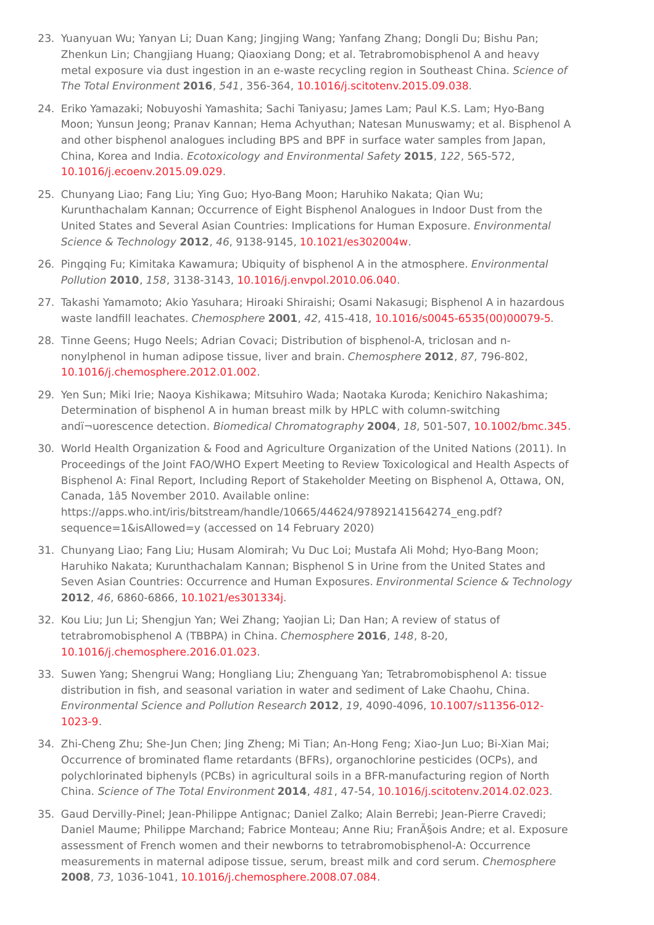- <span id="page-5-0"></span>23. Yuanyuan Wu; Yanyan Li; Duan Kang; Jingjing Wang; Yanfang Zhang; Dongli Du; Bishu Pan; Zhenkun Lin; Changjiang Huang; Qiaoxiang Dong; et al. Tetrabromobisphenol A and heavy metal exposure via dust ingestion in an e-waste recycling region in Southeast China. Science of The Total Environment **2016**, 541, 356-364, [10.1016/j.scitotenv.2015.09.038](http://doi.org/10.1016/j.scitotenv.2015.09.038).
- <span id="page-5-1"></span>24. Eriko Yamazaki; Nobuyoshi Yamashita; Sachi Taniyasu; James Lam; Paul K.S. Lam; Hyo-Bang Moon; Yunsun Jeong; Pranav Kannan; Hema Achyuthan; Natesan Munuswamy; et al. Bisphenol A and other bisphenol analogues including BPS and BPF in surface water samples from Japan, China, Korea and India. Ecotoxicology and Environmental Safety **2015**, 122, 565-572, [10.1016/j.ecoenv.2015.09.029](http://doi.org/10.1016/j.ecoenv.2015.09.029).
- <span id="page-5-2"></span>25. Chunyang Liao; Fang Liu; Ying Guo; Hyo-Bang Moon; Haruhiko Nakata; Qian Wu; Kurunthachalam Kannan; Occurrence of Eight Bisphenol Analogues in Indoor Dust from the United States and Several Asian Countries: Implications for Human Exposure. Environmental Science & Technology **2012**, 46, 9138-9145, [10.1021/es302004w](http://doi.org/10.1021/es302004w).
- <span id="page-5-3"></span>26. Pingqing Fu; Kimitaka Kawamura; Ubiquity of bisphenol A in the atmosphere. Environmental Pollution **2010**, 158, 3138-3143, [10.1016/j.envpol.2010.06.040](http://doi.org/10.1016/j.envpol.2010.06.040).
- <span id="page-5-4"></span>27. Takashi Yamamoto; Akio Yasuhara; Hiroaki Shiraishi; Osami Nakasugi; Bisphenol A in hazardous waste landfill leachates. Chemosphere **2001**, 42, 415-418, [10.1016/s0045-6535\(00\)00079-5](http://doi.org/10.1016/s0045-6535(00)00079-5).
- <span id="page-5-5"></span>28. Tinne Geens; Hugo Neels; Adrian Covaci; Distribution of bisphenol-A, triclosan and nnonylphenol in human adipose tissue, liver and brain. Chemosphere **2012**, 87, 796-802, [10.1016/j.chemosphere.2012.01.002](http://doi.org/10.1016/j.chemosphere.2012.01.002).
- <span id="page-5-6"></span>29. Yen Sun; Miki Irie; Naoya Kishikawa; Mitsuhiro Wada; Naotaka Kuroda; Kenichiro Nakashima; Determination of bisphenol A in human breast milk by HPLC with column-switching andï¬uorescence detection. Biomedical Chromatography **2004**, 18, 501-507, [10.1002/bmc.345](http://doi.org/10.1002/bmc.345).
- <span id="page-5-7"></span>30. World Health Organization & Food and Agriculture Organization of the United Nations (2011). In Proceedings of the Joint FAO/WHO Expert Meeting to Review Toxicological and Health Aspects of Bisphenol A: Final Report, Including Report of Stakeholder Meeting on Bisphenol A, Ottawa, ON, Canada, 1â5 November 2010. Available online: https://apps.who.int/iris/bitstream/handle/10665/44624/97892141564274\_eng.pdf? sequence=1&isAllowed=y (accessed on 14 February 2020)
- <span id="page-5-8"></span>31. Chunyang Liao; Fang Liu; Husam Alomirah; Vu Duc Loi; Mustafa Ali Mohd; Hyo-Bang Moon; Haruhiko Nakata; Kurunthachalam Kannan; Bisphenol S in Urine from the United States and Seven Asian Countries: Occurrence and Human Exposures. Environmental Science & Technology **2012**, 46, 6860-6866, [10.1021/es301334j](http://doi.org/10.1021/es301334j).
- <span id="page-5-9"></span>32. Kou Liu; Jun Li; Shengjun Yan; Wei Zhang; Yaojian Li; Dan Han; A review of status of tetrabromobisphenol A (TBBPA) in China. Chemosphere **2016**, 148, 8-20, [10.1016/j.chemosphere.2016.01.023](http://doi.org/10.1016/j.chemosphere.2016.01.023).
- <span id="page-5-10"></span>33. Suwen Yang; Shengrui Wang; Hongliang Liu; Zhenguang Yan; Tetrabromobisphenol A: tissue distribution in fish, and seasonal variation in water and sediment of Lake Chaohu, China. Environmental Science and Pollution Research **2012**, 19, 4090-4096, [10.1007/s11356-012-](http://doi.org/10.1007/s11356-012-1023-9) 1023-9.
- <span id="page-5-11"></span>34. Zhi-Cheng Zhu; She-Jun Chen; Jing Zheng; Mi Tian; An-Hong Feng; Xiao-Jun Luo; Bi-Xian Mai; Occurrence of brominated flame retardants (BFRs), organochlorine pesticides (OCPs), and polychlorinated biphenyls (PCBs) in agricultural soils in a BFR-manufacturing region of North China. Science of The Total Environment **2014**, 481, 47-54, [10.1016/j.scitotenv.2014.02.023.](http://doi.org/10.1016/j.scitotenv.2014.02.023)
- <span id="page-5-12"></span>35. Gaud Dervilly-Pinel; Jean-Philippe Antignac; Daniel Zalko; Alain Berrebi; Jean-Pierre Cravedi; Daniel Maume; Philippe Marchand; Fabrice Monteau; Anne Riu; Fran§ois Andre; et al. Exposure assessment of French women and their newborns to tetrabromobisphenol-A: Occurrence measurements in maternal adipose tissue, serum, breast milk and cord serum. Chemosphere **2008**, 73, 1036-1041, [10.1016/j.chemosphere.2008.07.084](http://doi.org/10.1016/j.chemosphere.2008.07.084).